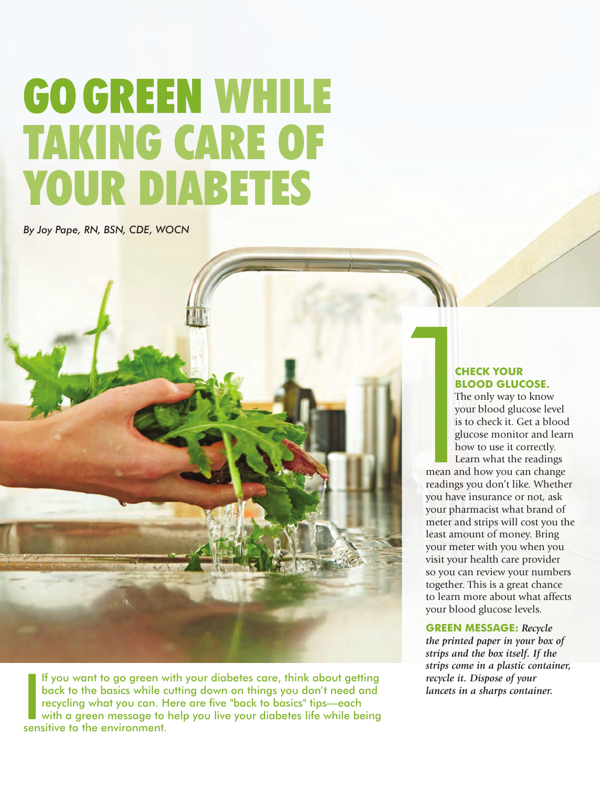# GO GREEN WHILE TAKING CARE OF YOUR DIABETES

*By Joy Pape, RN, BSN, CDE, WOCN*



If you want to go green w<br>back to the basics while curecycling what you can. H<br>with a green message to l<br>sensitive to the environment. If you want to go green with your diabetes care, think about getting back to the basics while cutting down on things you don't need and recycling what you can. Here are five "back to basics" tips—each with a green message to help you live your diabetes life while being

## **CHECK YOUR BLOOD GLUCOSE.**

The only way to know your blood glucose level is to check it. Get a blood glucose monitor and learn how to use it correctly. Learn what the readings

mean and how you can change readings you don't like. Whether you have insurance or not, ask your pharmacist what brand of meter and strips will cost you the least amount of money. Bring your meter with you when you visit your health care provider so you can review your numbers together. This is a great chance to learn more about what affects your blood glucose levels.

**GREEN MESSAGE:** *Recycle the printed paper in your box of strips and the box itself. If the strips come in a plastic container, recycle it. Dispose of your lancets in a sharps container.*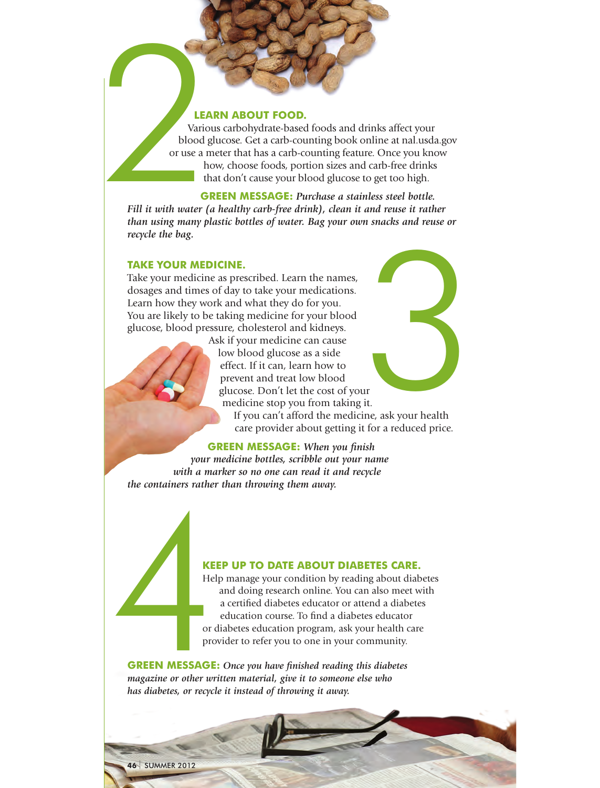#### **LEARN ABOUT FOOD.**

Various carbohydrate-based foods and drinks affect your blood glucose. Get a carb-counting book online at nal.usda.gov or use a meter that has a carb-counting feature. Once you know how, choose foods, portion sizes and carb-free drinks that don't cause your blood glucose to get too high. LEA<br>
Vario<br>
Using a r<br>
Vario<br>
Or use a r<br>
or use a r<br>
th<br>
th<br>
C<br>
Fill it with water (

**GREEN MESSAGE:** *Purchase a stainless steel bottle. Fill it with water (a healthy carb-free drink), clean it and reuse it rather than using many plastic bottles of water. Bag your own snacks and reuse or recycle the bag.*

### **TAKE YOUR MEDICINE.**

Take your medicine as prescribed. Learn the names, dosages and times of day to take your medications. Learn how they work and what they do for you. You are likely to be taking medicine for your blood glucose, blood pressure, cholesterol and kidneys.

Ask if your medicine can cause low blood glucose as a side effect. If it can, learn how to prevent and treat low blood glucose. Don't let the cost of your medicine stop you from taking it. If you can't afford the medicine, ask your health care provider about getting it for a reduced price. II<br>it.<br>ne, ask your health

#### **GREEN MESSAGE:** *When you finish*

*your medicine bottles, scribble out your name with a marker so no one can read it and recycle the containers rather than throwing them away.*

#### **KEEP UP TO DATE ABOUT DIABETES CARE.**

Help manage your condition by reading about diabetes and doing research online. You can also meet with a certified diabetes educator or attend a diabetes education course. To find a diabetes educator or diabetes education program, ask your health care provider to refer you to one in your community.

**GREEN MESSAGE:** *Once you have finished reading this diabetes magazine or other written material, give it to someone else who has diabetes, or recycle it instead of throwing it away.*  KEE<br>Help<br>or d<br>or d<br>prov<br>**GREEN MESSAGE:**<br>magazine or other wri